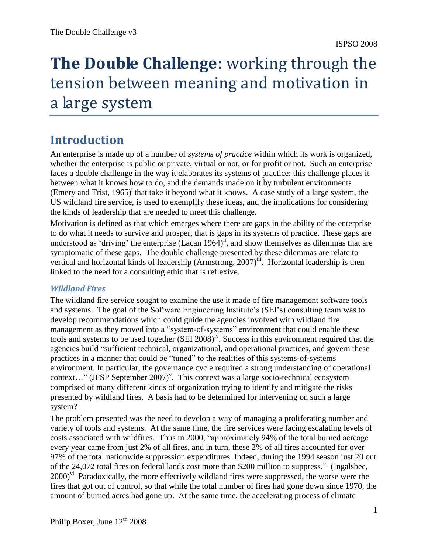# **The Double Challenge**: working through the tension between meaning and motivation in a large system

# **Introduction**

An enterprise is made up of a number of *systems of practice* within which its work is organized, whether the enterprise is public or private, virtual or not, or for profit or not. Such an enterprise faces a double challenge in the way it elaborates its systems of practice: this challenge places it between what it knows how to do, and the demands made on it by turbulent environments (Emery and Trist,  $1965$ )<sup>i</sup> that take it beyond what it knows. A case study of a large system, the US wildland fire service, is used to exemplify these ideas, and the implications for considering the kinds of leadership that are needed to meet this challenge.

Motivation is defined as that which emerges where there are gaps in the ability of the enterprise to do what it needs to survive and prosper, that is gaps in its systems of practice. These gaps are understood as 'driving' the enterprise  $(Lacan 1964)$ <sup>if</sup>, and show themselves as dilemmas that are symptomatic of these gaps. The double challenge presented by these dilemmas are relate to vertical and horizontal kinds of leadership (Armstrong, 2007)<sup>iii</sup>. Horizontal leadership is then linked to the need for a consulting ethic that is reflexive.

#### *Wildland Fires*

The wildland fire service sought to examine the use it made of fire management software tools and systems. The goal of the Software Engineering Institute's (SEI's) consulting team was to develop recommendations which could guide the agencies involved with wildland fire management as they moved into a "system-of-systems" environment that could enable these tools and systems to be used together (SEI 2008)<sup>iv</sup>. Success in this environment required that the agencies build "sufficient technical, organizational, and operational practices, and govern these practices in a manner that could be "tuned" to the realities of this systems-of-systems environment. In particular, the governance cycle required a strong understanding of operational context..." (JFSP September 2007)<sup>v</sup>. This context was a large socio-technical ecosystem comprised of many different kinds of organization trying to identify and mitigate the risks presented by wildland fires. A basis had to be determined for intervening on such a large system?

The problem presented was the need to develop a way of managing a proliferating number and variety of tools and systems. At the same time, the fire services were facing escalating levels of costs associated with wildfires. Thus in 2000, "approximately 94% of the total burned acreage every year came from just 2% of all fires, and in turn, these 2% of all fires accounted for over 97% of the total nationwide suppression expenditures. Indeed, during the 1994 season just 20 out of the 24,072 total fires on federal lands cost more than \$200 million to suppress." (Ingalsbee, 2000)<sup>vi</sup> Paradoxically, the more effectively wildland fires were suppressed, the worse were the fires that got out of control, so that while the total number of fires had gone down since 1970, the amount of burned acres had gone up. At the same time, the accelerating process of climate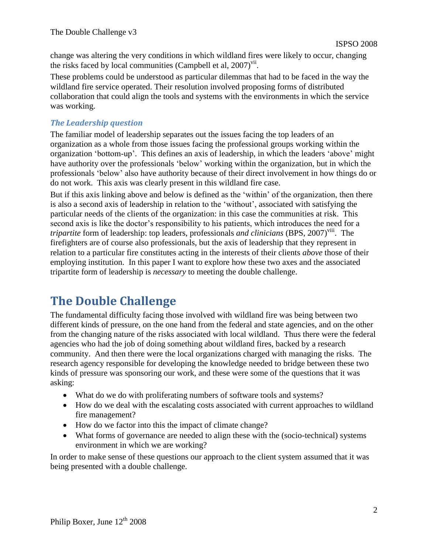change was altering the very conditions in which wildland fires were likely to occur, changing the risks faced by local communities (Campbell et al,  $2007$ )<sup>vii</sup>.

These problems could be understood as particular dilemmas that had to be faced in the way the wildland fire service operated. Their resolution involved proposing forms of distributed collaboration that could align the tools and systems with the environments in which the service was working.

### *The Leadership question*

The familiar model of leadership separates out the issues facing the top leaders of an organization as a whole from those issues facing the professional groups working within the organization "bottom-up". This defines an axis of leadership, in which the leaders "above" might have authority over the professionals "below" working within the organization, but in which the professionals "below" also have authority because of their direct involvement in how things do or do not work. This axis was clearly present in this wildland fire case.

But if this axis linking above and below is defined as the 'within' of the organization, then there is also a second axis of leadership in relation to the "without", associated with satisfying the particular needs of the clients of the organization: in this case the communities at risk. This second axis is like the doctor's responsibility to his patients, which introduces the need for a tripartite form of leadership: top leaders, professionals *and clinicians* (BPS, 2007)<sup>viii</sup>. The firefighters are of course also professionals, but the axis of leadership that they represent in relation to a particular fire constitutes acting in the interests of their clients *above* those of their employing institution. In this paper I want to explore how these two axes and the associated tripartite form of leadership is *necessary* to meeting the double challenge.

# **The Double Challenge**

The fundamental difficulty facing those involved with wildland fire was being between two different kinds of pressure, on the one hand from the federal and state agencies, and on the other from the changing nature of the risks associated with local wildland. Thus there were the federal agencies who had the job of doing something about wildland fires, backed by a research community. And then there were the local organizations charged with managing the risks. The research agency responsible for developing the knowledge needed to bridge between these two kinds of pressure was sponsoring our work, and these were some of the questions that it was asking:

- What do we do with proliferating numbers of software tools and systems?
- How do we deal with the escalating costs associated with current approaches to wildland fire management?
- How do we factor into this the impact of climate change?
- What forms of governance are needed to align these with the (socio-technical) systems environment in which we are working?

In order to make sense of these questions our approach to the client system assumed that it was being presented with a double challenge.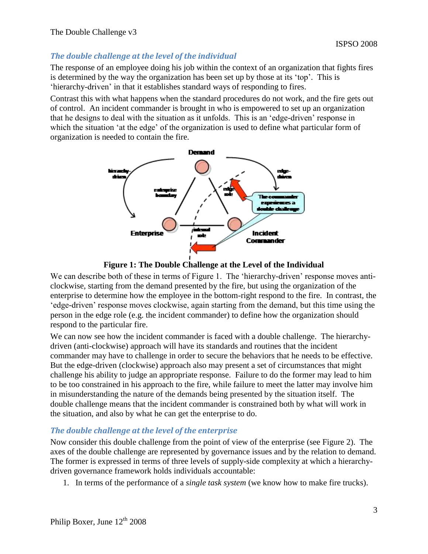#### *The double challenge at the level of the individual*

The response of an employee doing his job within the context of an organization that fights fires is determined by the way the organization has been set up by those at its 'top'. This is "hierarchy-driven" in that it establishes standard ways of responding to fires.

Contrast this with what happens when the standard procedures do not work, and the fire gets out of control. An incident commander is brought in who is empowered to set up an organization that he designs to deal with the situation as it unfolds. This is an "edge-driven" response in which the situation 'at the edge' of the organization is used to define what particular form of organization is needed to contain the fire.



**Figure 1: The Double Challenge at the Level of the Individual**

We can describe both of these in terms of Figure 1. The 'hierarchy-driven' response moves anticlockwise, starting from the demand presented by the fire, but using the organization of the enterprise to determine how the employee in the bottom-right respond to the fire. In contrast, the "edge-driven" response moves clockwise, again starting from the demand, but this time using the person in the edge role (e.g. the incident commander) to define how the organization should respond to the particular fire.

We can now see how the incident commander is faced with a double challenge. The hierarchydriven (anti-clockwise) approach will have its standards and routines that the incident commander may have to challenge in order to secure the behaviors that he needs to be effective. But the edge-driven (clockwise) approach also may present a set of circumstances that might challenge his ability to judge an appropriate response. Failure to do the former may lead to him to be too constrained in his approach to the fire, while failure to meet the latter may involve him in misunderstanding the nature of the demands being presented by the situation itself. The double challenge means that the incident commander is constrained both by what will work in the situation, and also by what he can get the enterprise to do.

### *The double challenge at the level of the enterprise*

Now consider this double challenge from the point of view of the enterprise (see Figure 2). The axes of the double challenge are represented by governance issues and by the relation to demand. The former is expressed in terms of three levels of supply-side complexity at which a hierarchydriven governance framework holds individuals accountable:

1. In terms of the performance of a *single task system* (we know how to make fire trucks).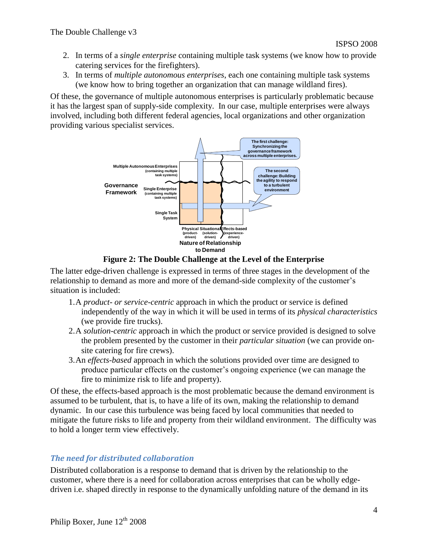- 2. In terms of a *single enterprise* containing multiple task systems (we know how to provide catering services for the firefighters).
- 3. In terms of *multiple autonomous enterprises*, each one containing multiple task systems (we know how to bring together an organization that can manage wildland fires).

Of these, the governance of multiple autonomous enterprises is particularly problematic because it has the largest span of supply-side complexity. In our case, multiple enterprises were always involved, including both different federal agencies, local organizations and other organization providing various specialist services.



**Figure 2: The Double Challenge at the Level of the Enterprise**

The latter edge-driven challenge is expressed in terms of three stages in the development of the relationship to demand as more and more of the demand-side complexity of the customer's situation is included:

- 1.A *product- or service-centric* approach in which the product or service is defined independently of the way in which it will be used in terms of its *physical characteristics* (we provide fire trucks).
- 2.A *solution-centric* approach in which the product or service provided is designed to solve the problem presented by the customer in their *particular situation* (we can provide onsite catering for fire crews).
- 3.An *effects-based* approach in which the solutions provided over time are designed to produce particular effects on the customer"s ongoing experience (we can manage the fire to minimize risk to life and property).

Of these, the effects-based approach is the most problematic because the demand environment is assumed to be turbulent, that is, to have a life of its own, making the relationship to demand dynamic. In our case this turbulence was being faced by local communities that needed to mitigate the future risks to life and property from their wildland environment. The difficulty was to hold a longer term view effectively.

### *The need for distributed collaboration*

Distributed collaboration is a response to demand that is driven by the relationship to the customer, where there is a need for collaboration across enterprises that can be wholly edgedriven i.e. shaped directly in response to the dynamically unfolding nature of the demand in its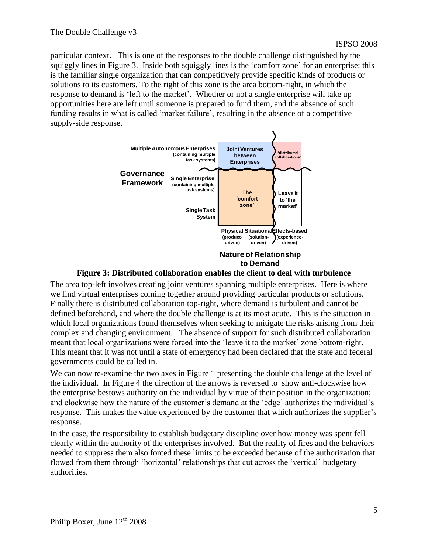particular context. This is one of the responses to the double challenge distinguished by the squiggly lines in Figure 3. Inside both squiggly lines is the 'comfort zone' for an enterprise: this is the familiar single organization that can competitively provide specific kinds of products or solutions to its customers. To the right of this zone is the area bottom-right, in which the response to demand is "left to the market". Whether or not a single enterprise will take up opportunities here are left until someone is prepared to fund them, and the absence of such funding results in what is called "market failure", resulting in the absence of a competitive supply-side response.





The area top-left involves creating joint ventures spanning multiple enterprises. Here is where we find virtual enterprises coming together around providing particular products or solutions. Finally there is distributed collaboration top-right, where demand is turbulent and cannot be defined beforehand, and where the double challenge is at its most acute. This is the situation in which local organizations found themselves when seeking to mitigate the risks arising from their complex and changing environment. The absence of support for such distributed collaboration meant that local organizations were forced into the 'leave it to the market' zone bottom-right. This meant that it was not until a state of emergency had been declared that the state and federal governments could be called in.

We can now re-examine the two axes in Figure 1 presenting the double challenge at the level of the individual. In Figure 4 the direction of the arrows is reversed to show anti-clockwise how the enterprise bestows authority on the individual by virtue of their position in the organization; and clockwise how the nature of the customer's demand at the 'edge' authorizes the individual's response. This makes the value experienced by the customer that which authorizes the supplier"s response.

In the case, the responsibility to establish budgetary discipline over how money was spent fell clearly within the authority of the enterprises involved. But the reality of fires and the behaviors needed to suppress them also forced these limits to be exceeded because of the authorization that flowed from them through "horizontal" relationships that cut across the "vertical" budgetary authorities.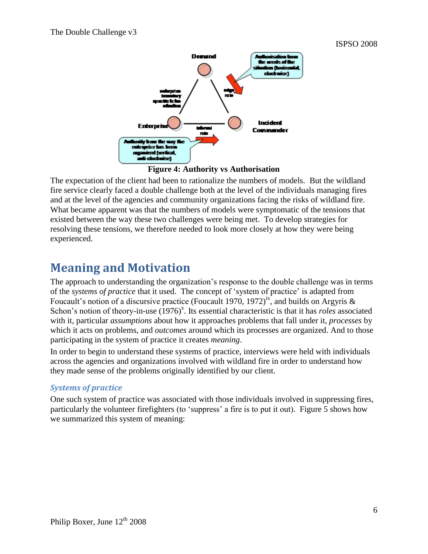

**Figure 4: Authority vs Authorisation**

The expectation of the client had been to rationalize the numbers of models. But the wildland fire service clearly faced a double challenge both at the level of the individuals managing fires and at the level of the agencies and community organizations facing the risks of wildland fire. What became apparent was that the numbers of models were symptomatic of the tensions that existed between the way these two challenges were being met. To develop strategies for resolving these tensions, we therefore needed to look more closely at how they were being experienced.

## **Meaning and Motivation**

The approach to understanding the organization"s response to the double challenge was in terms of the *systems of practice* that it used. The concept of "system of practice" is adapted from Foucault's notion of a discursive practice (Foucault 1970, 1972)<sup>ix</sup>, and builds on Argyris & Schon's notion of theory-in-use (1976)<sup>x</sup>. Its essential characteristic is that it has *roles* associated with it, particular *assumptions* about how it approaches problems that fall under it, *processes* by which it acts on problems, and *outcomes* around which its processes are organized. And to those participating in the system of practice it creates *meaning*.

In order to begin to understand these systems of practice, interviews were held with individuals across the agencies and organizations involved with wildland fire in order to understand how they made sense of the problems originally identified by our client.

#### *Systems of practice*

One such system of practice was associated with those individuals involved in suppressing fires, particularly the volunteer firefighters (to "suppress" a fire is to put it out). Figure 5 shows how we summarized this system of meaning: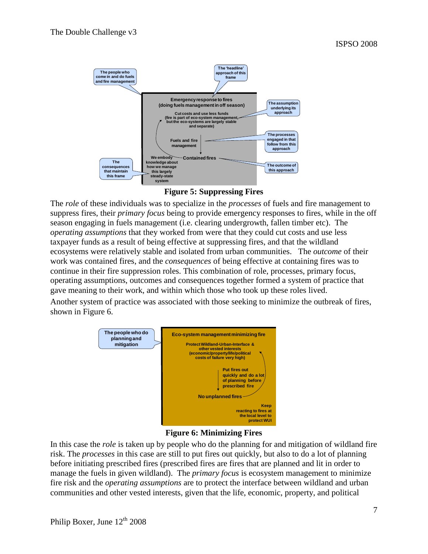

**Figure 5: Suppressing Fires**

The *role* of these individuals was to specialize in the *processes* of fuels and fire management to suppress fires, their *primary focus* being to provide emergency responses to fires, while in the off season engaging in fuels management (i.e. clearing undergrowth, fallen timber etc). The *operating assumptions* that they worked from were that they could cut costs and use less taxpayer funds as a result of being effective at suppressing fires, and that the wildland ecosystems were relatively stable and isolated from urban communities. The *outcome* of their work was contained fires, and the *consequences* of being effective at containing fires was to continue in their fire suppression roles. This combination of role, processes, primary focus, operating assumptions, outcomes and consequences together formed a system of practice that gave meaning to their work, and within which those who took up these roles lived.

Another system of practice was associated with those seeking to minimize the outbreak of fires, shown in Figure 6.



#### **Figure 6: Minimizing Fires**

In this case the *role* is taken up by people who do the planning for and mitigation of wildland fire risk. The *processes* in this case are still to put fires out quickly, but also to do a lot of planning before initiating prescribed fires (prescribed fires are fires that are planned and lit in order to manage the fuels in given wildland). The *primary focus* is ecosystem management to minimize fire risk and the *operating assumptions* are to protect the interface between wildland and urban communities and other vested interests, given that the life, economic, property, and political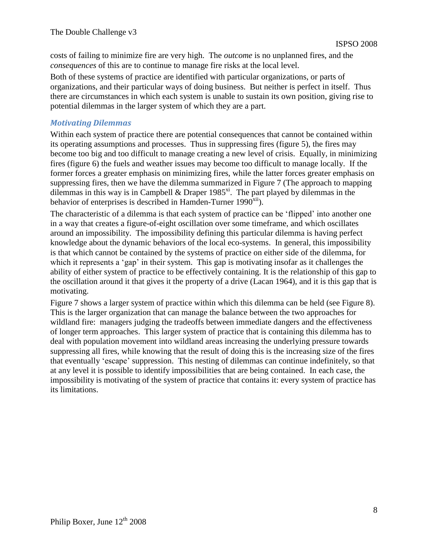costs of failing to minimize fire are very high. The *outcome* is no unplanned fires, and the *consequences* of this are to continue to manage fire risks at the local level.

Both of these systems of practice are identified with particular organizations, or parts of organizations, and their particular ways of doing business. But neither is perfect in itself. Thus there are circumstances in which each system is unable to sustain its own position, giving rise to potential dilemmas in the larger system of which they are a part.

#### *Motivating Dilemmas*

Within each system of practice there are potential consequences that cannot be contained within its operating assumptions and processes. Thus in suppressing fires (figure 5), the fires may become too big and too difficult to manage creating a new level of crisis. Equally, in minimizing fires (figure 6) the fuels and weather issues may become too difficult to manage locally. If the former forces a greater emphasis on minimizing fires, while the latter forces greater emphasis on suppressing fires, then we have the dilemma summarized in Figure 7 (The approach to mapping dilemmas in this way is in Campbell & Draper 1985<sup>xi</sup>. The part played by dilemmas in the behavior of enterprises is described in Hamden-Turner  $1990<sup>xii</sup>$ .

The characteristic of a dilemma is that each system of practice can be "flipped" into another one in a way that creates a figure-of-eight oscillation over some timeframe, and which oscillates around an impossibility. The impossibility defining this particular dilemma is having perfect knowledge about the dynamic behaviors of the local eco-systems. In general, this impossibility is that which cannot be contained by the systems of practice on either side of the dilemma, for which it represents a 'gap' in their system. This gap is motivating insofar as it challenges the ability of either system of practice to be effectively containing. It is the relationship of this gap to the oscillation around it that gives it the property of a drive (Lacan 1964), and it is this gap that is motivating.

Figure 7 shows a larger system of practice within which this dilemma can be held (see Figure 8). This is the larger organization that can manage the balance between the two approaches for wildland fire: managers judging the tradeoffs between immediate dangers and the effectiveness of longer term approaches. This larger system of practice that is containing this dilemma has to deal with population movement into wildland areas increasing the underlying pressure towards suppressing all fires, while knowing that the result of doing this is the increasing size of the fires that eventually "escape" suppression. This nesting of dilemmas can continue indefinitely, so that at any level it is possible to identify impossibilities that are being contained. In each case, the impossibility is motivating of the system of practice that contains it: every system of practice has its limitations.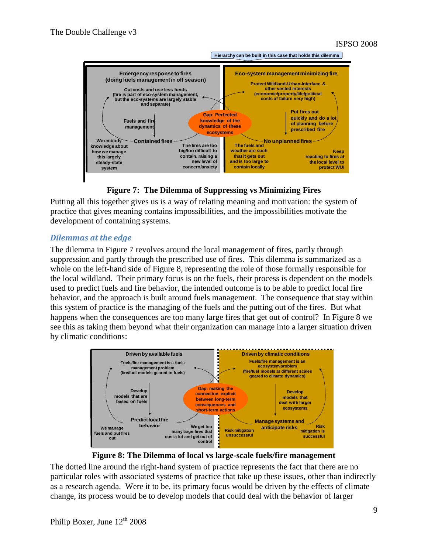

**Figure 7: The Dilemma of Suppressing vs Minimizing Fires**

Putting all this together gives us is a way of relating meaning and motivation: the system of practice that gives meaning contains impossibilities, and the impossibilities motivate the development of containing systems.

#### *Dilemmas at the edge*

The dilemma in Figure 7 revolves around the local management of fires, partly through suppression and partly through the prescribed use of fires. This dilemma is summarized as a whole on the left-hand side of Figure 8, representing the role of those formally responsible for the local wildland. Their primary focus is on the fuels, their process is dependent on the models used to predict fuels and fire behavior, the intended outcome is to be able to predict local fire behavior, and the approach is built around fuels management. The consequence that stay within this system of practice is the managing of the fuels and the putting out of the fires. But what happens when the consequences are too many large fires that get out of control? In Figure 8 we see this as taking them beyond what their organization can manage into a larger situation driven by climatic conditions:



**Figure 8: The Dilemma of local vs large-scale fuels/fire management**

The dotted line around the right-hand system of practice represents the fact that there are no particular roles with associated systems of practice that take up these issues, other than indirectly as a research agenda. Were it to be, its primary focus would be driven by the effects of climate change, its process would be to develop models that could deal with the behavior of larger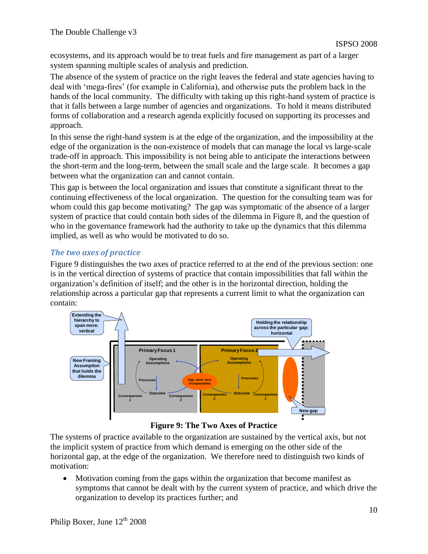ecosystems, and its approach would be to treat fuels and fire management as part of a larger system spanning multiple scales of analysis and prediction.

The absence of the system of practice on the right leaves the federal and state agencies having to deal with "mega-fires" (for example in California), and otherwise puts the problem back in the hands of the local community. The difficulty with taking up this right-hand system of practice is that it falls between a large number of agencies and organizations. To hold it means distributed forms of collaboration and a research agenda explicitly focused on supporting its processes and approach.

In this sense the right-hand system is at the edge of the organization, and the impossibility at the edge of the organization is the non-existence of models that can manage the local vs large-scale trade-off in approach. This impossibility is not being able to anticipate the interactions between the short-term and the long-term, between the small scale and the large scale. It becomes a gap between what the organization can and cannot contain.

This gap is between the local organization and issues that constitute a significant threat to the continuing effectiveness of the local organization. The question for the consulting team was for whom could this gap become motivating? The gap was symptomatic of the absence of a larger system of practice that could contain both sides of the dilemma in Figure 8, and the question of who in the governance framework had the authority to take up the dynamics that this dilemma implied, as well as who would be motivated to do so.

### *The two axes of practice*

Figure 9 distinguishes the two axes of practice referred to at the end of the previous section: one is in the vertical direction of systems of practice that contain impossibilities that fall within the organization"s definition of itself; and the other is in the horizontal direction, holding the relationship across a particular gap that represents a current limit to what the organization can contain:



**Figure 9: The Two Axes of Practice**

The systems of practice available to the organization are sustained by the vertical axis, but not the implicit system of practice from which demand is emerging on the other side of the horizontal gap, at the edge of the organization. We therefore need to distinguish two kinds of motivation:

 Motivation coming from the gaps within the organization that become manifest as symptoms that cannot be dealt with by the current system of practice, and which drive the organization to develop its practices further; and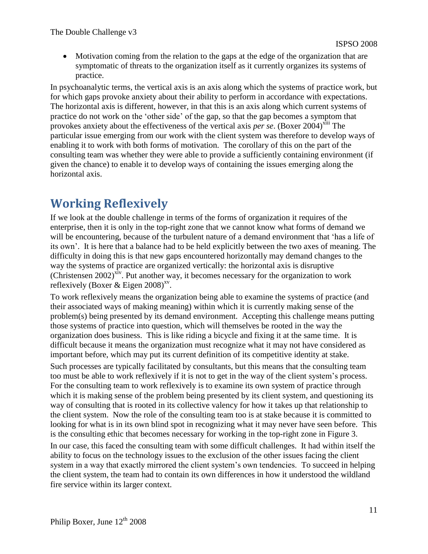Motivation coming from the relation to the gaps at the edge of the organization that are symptomatic of threats to the organization itself as it currently organizes its systems of practice.

In psychoanalytic terms, the vertical axis is an axis along which the systems of practice work, but for which gaps provoke anxiety about their ability to perform in accordance with expectations. The horizontal axis is different, however, in that this is an axis along which current systems of practice do not work on the "other side" of the gap, so that the gap becomes a symptom that provokes anxiety about the effectiveness of the vertical axis *per se*. (Boxer 2004)<sup>xiii</sup> The particular issue emerging from our work with the client system was therefore to develop ways of enabling it to work with both forms of motivation. The corollary of this on the part of the consulting team was whether they were able to provide a sufficiently containing environment (if given the chance) to enable it to develop ways of containing the issues emerging along the horizontal axis.

# **Working Reflexively**

If we look at the double challenge in terms of the forms of organization it requires of the enterprise, then it is only in the top-right zone that we cannot know what forms of demand we will be encountering, because of the turbulent nature of a demand environment that "has a life of its own". It is here that a balance had to be held explicitly between the two axes of meaning. The difficulty in doing this is that new gaps encountered horizontally may demand changes to the way the systems of practice are organized vertically: the horizontal axis is disruptive (Christensen 2002)<sup>xiv</sup>. Put another way, it becomes necessary for the organization to work reflexively (Boxer & Eigen  $2008$ )<sup>xv</sup>.

To work reflexively means the organization being able to examine the systems of practice (and their associated ways of making meaning) within which it is currently making sense of the problem(s) being presented by its demand environment. Accepting this challenge means putting those systems of practice into question, which will themselves be rooted in the way the organization does business. This is like riding a bicycle and fixing it at the same time. It is difficult because it means the organization must recognize what it may not have considered as important before, which may put its current definition of its competitive identity at stake.

Such processes are typically facilitated by consultants, but this means that the consulting team too must be able to work reflexively if it is not to get in the way of the client system"s process. For the consulting team to work reflexively is to examine its own system of practice through which it is making sense of the problem being presented by its client system, and questioning its way of consulting that is rooted in its collective valency for how it takes up that relationship to the client system. Now the role of the consulting team too is at stake because it is committed to looking for what is in its own blind spot in recognizing what it may never have seen before. This is the consulting ethic that becomes necessary for working in the top-right zone in Figure 3.

In our case, this faced the consulting team with some difficult challenges. It had within itself the ability to focus on the technology issues to the exclusion of the other issues facing the client system in a way that exactly mirrored the client system's own tendencies. To succeed in helping the client system, the team had to contain its own differences in how it understood the wildland fire service within its larger context.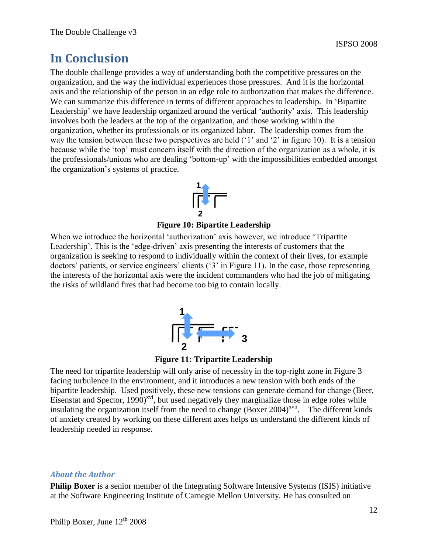## **In Conclusion**

The double challenge provides a way of understanding both the competitive pressures on the organization, and the way the individual experiences those pressures. And it is the horizontal axis and the relationship of the person in an edge role to authorization that makes the difference. We can summarize this difference in terms of different approaches to leadership. In 'Bipartite' Leadership' we have leadership organized around the vertical 'authority' axis. This leadership involves both the leaders at the top of the organization, and those working within the organization, whether its professionals or its organized labor. The leadership comes from the way the tension between these two perspectives are held ('1' and '2' in figure 10). It is a tension because while the "top" must concern itself with the direction of the organization as a whole, it is the professionals/unions who are dealing "bottom-up" with the impossibilities embedded amongst the organization"s systems of practice.



**Figure 10: Bipartite Leadership**

When we introduce the horizontal 'authorization' axis however, we introduce 'Tripartite' Leadership'. This is the 'edge-driven' axis presenting the interests of customers that the organization is seeking to respond to individually within the context of their lives, for example doctors' patients, or service engineers' clients ('3' in Figure 11). In the case, those representing the interests of the horizontal axis were the incident commanders who had the job of mitigating the risks of wildland fires that had become too big to contain locally.



**Figure 11: Tripartite Leadership**

The need for tripartite leadership will only arise of necessity in the top-right zone in Figure 3 facing turbulence in the environment, and it introduces a new tension with both ends of the bipartite leadership. Used positively, these new tensions can generate demand for change (Beer, Eisenstat and Spector,  $1990)^{xvi}$ , but used negatively they marginalize those in edge roles while insulating the organization itself from the need to change  $(Boxer 2004)^{xvii}$ . The different kinds of anxiety created by working on these different axes helps us understand the different kinds of leadership needed in response.

#### *About the Author*

**Philip Boxer** is a senior member of the Integrating Software Intensive Systems (ISIS) initiative at the Software Engineering Institute of Carnegie Mellon University. He has consulted on